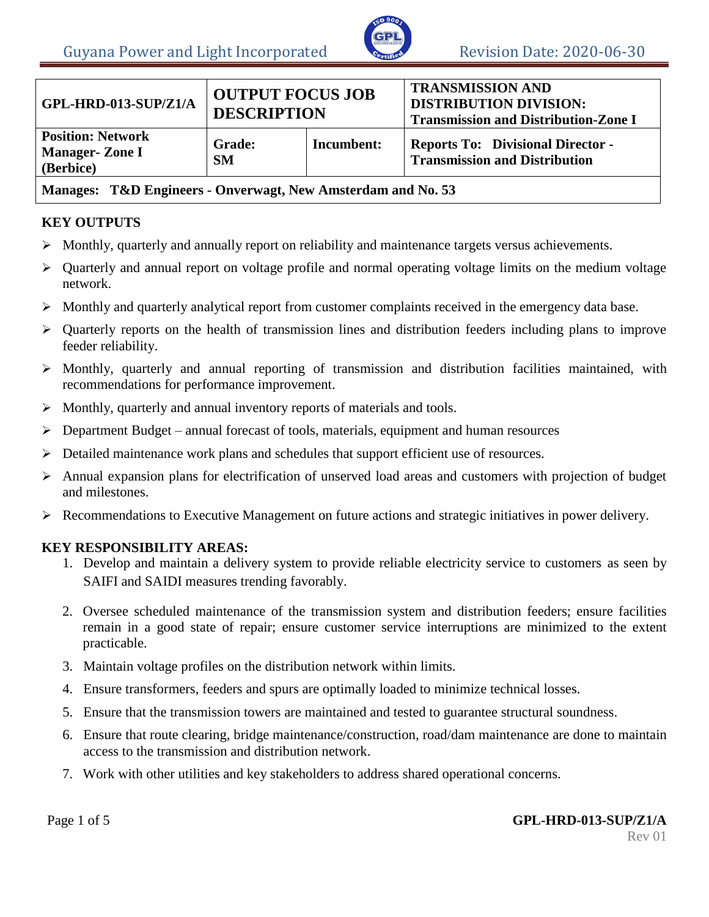

| GPL-HRD-013-SUP/Z1/A                                           | <b>OUTPUT FOCUS JOB</b><br><b>DESCRIPTION</b> |            | <b>TRANSMISSION AND</b><br><b>DISTRIBUTION DIVISION:</b><br><b>Transmission and Distribution-Zone I</b> |  |
|----------------------------------------------------------------|-----------------------------------------------|------------|---------------------------------------------------------------------------------------------------------|--|
| <b>Position: Network</b><br><b>Manager-Zone I</b><br>(Berbice) | <b>Grade:</b><br><b>SM</b>                    | Incumbent: | <b>Reports To: Divisional Director -</b><br><b>Transmission and Distribution</b>                        |  |
| Manages: T&D Frainees - Onverweat New Amsterdam and No. 53     |                                               |            |                                                                                                         |  |

## **Manages: T&D Engineers - Onverwagt, New Amsterdam and No. 53**

### **KEY OUTPUTS**

- $\triangleright$  Monthly, quarterly and annually report on reliability and maintenance targets versus achievements.
- $\triangleright$  Quarterly and annual report on voltage profile and normal operating voltage limits on the medium voltage network.
- $\triangleright$  Monthly and quarterly analytical report from customer complaints received in the emergency data base.
- $\triangleright$  Quarterly reports on the health of transmission lines and distribution feeders including plans to improve feeder reliability.
- Monthly, quarterly and annual reporting of transmission and distribution facilities maintained, with recommendations for performance improvement.
- $\triangleright$  Monthly, quarterly and annual inventory reports of materials and tools.
- $\triangleright$  Department Budget annual forecast of tools, materials, equipment and human resources
- Detailed maintenance work plans and schedules that support efficient use of resources.
- Annual expansion plans for electrification of unserved load areas and customers with projection of budget and milestones.
- Recommendations to Executive Management on future actions and strategic initiatives in power delivery.

### **KEY RESPONSIBILITY AREAS:**

- 1. Develop and maintain a delivery system to provide reliable electricity service to customers as seen by SAIFI and SAIDI measures trending favorably.
- 2. Oversee scheduled maintenance of the transmission system and distribution feeders; ensure facilities remain in a good state of repair; ensure customer service interruptions are minimized to the extent practicable.
- 3. Maintain voltage profiles on the distribution network within limits.
- 4. Ensure transformers, feeders and spurs are optimally loaded to minimize technical losses.
- 5. Ensure that the transmission towers are maintained and tested to guarantee structural soundness.
- 6. Ensure that route clearing, bridge maintenance/construction, road/dam maintenance are done to maintain access to the transmission and distribution network.
- 7. Work with other utilities and key stakeholders to address shared operational concerns.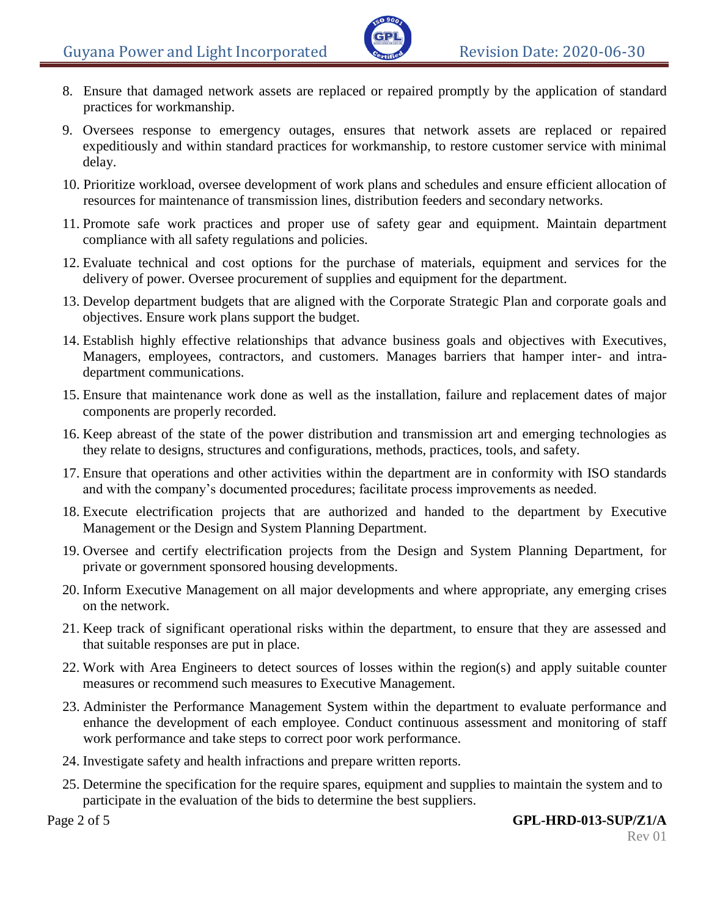- 8. Ensure that damaged network assets are replaced or repaired promptly by the application of standard practices for workmanship.
- 9. Oversees response to emergency outages, ensures that network assets are replaced or repaired expeditiously and within standard practices for workmanship, to restore customer service with minimal delay.
- 10. Prioritize workload, oversee development of work plans and schedules and ensure efficient allocation of resources for maintenance of transmission lines, distribution feeders and secondary networks.
- 11. Promote safe work practices and proper use of safety gear and equipment. Maintain department compliance with all safety regulations and policies.
- 12. Evaluate technical and cost options for the purchase of materials, equipment and services for the delivery of power. Oversee procurement of supplies and equipment for the department.
- 13. Develop department budgets that are aligned with the Corporate Strategic Plan and corporate goals and objectives. Ensure work plans support the budget.
- 14. Establish highly effective relationships that advance business goals and objectives with Executives, Managers, employees, contractors, and customers. Manages barriers that hamper inter- and intradepartment communications.
- 15. Ensure that maintenance work done as well as the installation, failure and replacement dates of major components are properly recorded.
- 16. Keep abreast of the state of the power distribution and transmission art and emerging technologies as they relate to designs, structures and configurations, methods, practices, tools, and safety.
- 17. Ensure that operations and other activities within the department are in conformity with ISO standards and with the company's documented procedures; facilitate process improvements as needed.
- 18. Execute electrification projects that are authorized and handed to the department by Executive Management or the Design and System Planning Department.
- 19. Oversee and certify electrification projects from the Design and System Planning Department, for private or government sponsored housing developments.
- 20. Inform Executive Management on all major developments and where appropriate, any emerging crises on the network.
- 21. Keep track of significant operational risks within the department, to ensure that they are assessed and that suitable responses are put in place.
- 22. Work with Area Engineers to detect sources of losses within the region(s) and apply suitable counter measures or recommend such measures to Executive Management.
- 23. Administer the Performance Management System within the department to evaluate performance and enhance the development of each employee. Conduct continuous assessment and monitoring of staff work performance and take steps to correct poor work performance.
- 24. Investigate safety and health infractions and prepare written reports.
- 25. Determine the specification for the require spares, equipment and supplies to maintain the system and to participate in the evaluation of the bids to determine the best suppliers.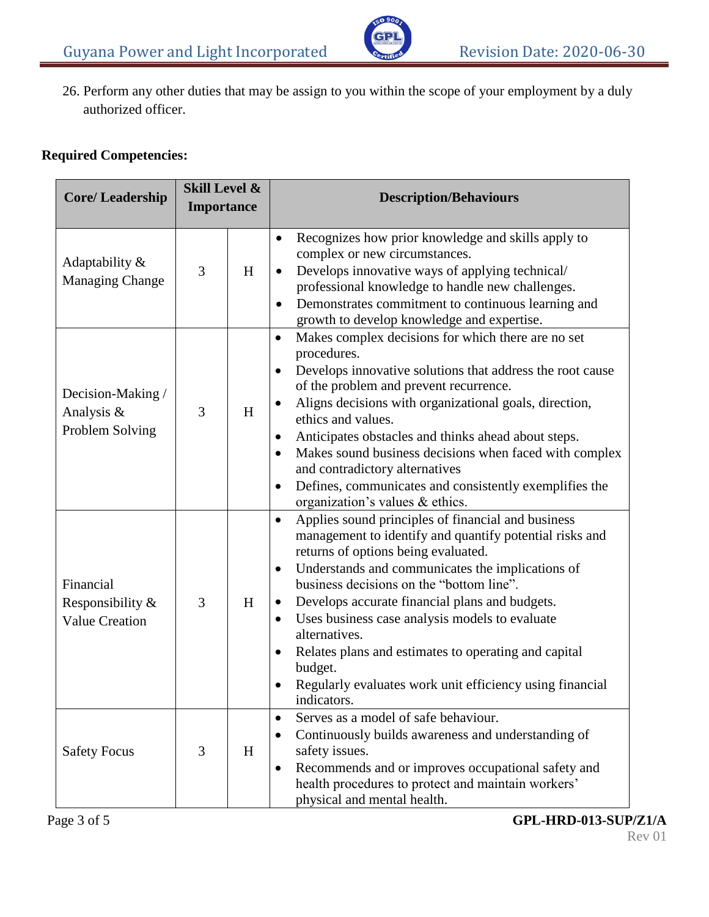26. Perform any other duties that may be assign to you within the scope of your employment by a duly authorized officer.

# **Required Competencies:**

| <b>Core/Leadership</b>                                 | <b>Skill Level &amp;</b><br><b>Importance</b> |   | <b>Description/Behaviours</b>                                                                                                                                                                                                                                                                                                                                                                                                                                                                                                                                               |  |
|--------------------------------------------------------|-----------------------------------------------|---|-----------------------------------------------------------------------------------------------------------------------------------------------------------------------------------------------------------------------------------------------------------------------------------------------------------------------------------------------------------------------------------------------------------------------------------------------------------------------------------------------------------------------------------------------------------------------------|--|
| Adaptability &<br>Managing Change                      | 3                                             | H | Recognizes how prior knowledge and skills apply to<br>٠<br>complex or new circumstances.<br>Develops innovative ways of applying technical/<br>٠<br>professional knowledge to handle new challenges.<br>Demonstrates commitment to continuous learning and<br>٠<br>growth to develop knowledge and expertise.                                                                                                                                                                                                                                                               |  |
| Decision-Making /<br>Analysis &<br>Problem Solving     | 3                                             | H | Makes complex decisions for which there are no set<br>$\bullet$<br>procedures.<br>Develops innovative solutions that address the root cause<br>$\bullet$<br>of the problem and prevent recurrence.<br>Aligns decisions with organizational goals, direction,<br>ethics and values.<br>Anticipates obstacles and thinks ahead about steps.<br>٠<br>Makes sound business decisions when faced with complex<br>$\bullet$<br>and contradictory alternatives<br>Defines, communicates and consistently exemplifies the<br>$\bullet$<br>organization's values & ethics.           |  |
| Financial<br>Responsibility &<br><b>Value Creation</b> | 3                                             | H | Applies sound principles of financial and business<br>$\bullet$<br>management to identify and quantify potential risks and<br>returns of options being evaluated.<br>Understands and communicates the implications of<br>$\bullet$<br>business decisions on the "bottom line".<br>Develops accurate financial plans and budgets.<br>Uses business case analysis models to evaluate<br>$\bullet$<br>alternatives.<br>Relates plans and estimates to operating and capital<br>$\bullet$<br>budget.<br>Regularly evaluates work unit efficiency using financial<br>indicators. |  |
| <b>Safety Focus</b>                                    | 3                                             | H | Serves as a model of safe behaviour.<br>$\bullet$<br>Continuously builds awareness and understanding of<br>$\bullet$<br>safety issues.<br>Recommends and or improves occupational safety and<br>$\bullet$<br>health procedures to protect and maintain workers'<br>physical and mental health.                                                                                                                                                                                                                                                                              |  |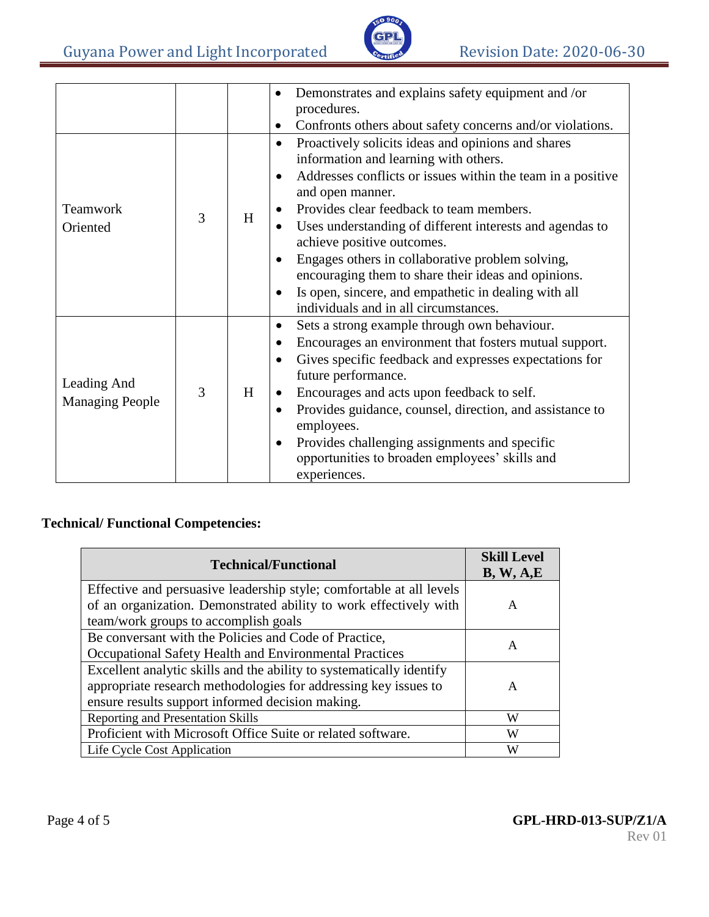

|                                       |   |   | Demonstrates and explains safety equipment and /or<br>٠                  |
|---------------------------------------|---|---|--------------------------------------------------------------------------|
|                                       |   |   | procedures.                                                              |
|                                       |   |   | Confronts others about safety concerns and/or violations.                |
| Teamwork<br>Oriented                  | 3 | H | Proactively solicits ideas and opinions and shares<br>٠                  |
|                                       |   |   | information and learning with others.                                    |
|                                       |   |   | Addresses conflicts or issues within the team in a positive<br>$\bullet$ |
|                                       |   |   | and open manner.                                                         |
|                                       |   |   | Provides clear feedback to team members.<br>$\bullet$                    |
|                                       |   |   | Uses understanding of different interests and agendas to<br>$\bullet$    |
|                                       |   |   | achieve positive outcomes.                                               |
|                                       |   |   | Engages others in collaborative problem solving,<br>$\bullet$            |
|                                       |   |   | encouraging them to share their ideas and opinions.                      |
|                                       |   |   | Is open, sincere, and empathetic in dealing with all<br>٠                |
|                                       |   |   | individuals and in all circumstances.                                    |
|                                       |   |   | Sets a strong example through own behaviour.<br>$\bullet$                |
| Leading And<br><b>Managing People</b> |   |   | Encourages an environment that fosters mutual support.<br>٠              |
|                                       |   |   | Gives specific feedback and expresses expectations for<br>$\bullet$      |
|                                       |   |   | future performance.                                                      |
|                                       | 3 | H | Encourages and acts upon feedback to self.<br>$\bullet$                  |
|                                       |   |   | Provides guidance, counsel, direction, and assistance to<br>٠            |
|                                       |   |   | employees.                                                               |
|                                       |   |   | Provides challenging assignments and specific<br>$\bullet$               |
|                                       |   |   | opportunities to broaden employees' skills and                           |
|                                       |   |   | experiences.                                                             |

# **Technical/ Functional Competencies:**

| <b>Technical/Functional</b>                                                                                                                                                                 | <b>Skill Level</b><br>B, W, A, E |
|---------------------------------------------------------------------------------------------------------------------------------------------------------------------------------------------|----------------------------------|
| Effective and persuasive leadership style; comfortable at all levels<br>of an organization. Demonstrated ability to work effectively with<br>team/work groups to accomplish goals           | A                                |
| Be conversant with the Policies and Code of Practice,<br>Occupational Safety Health and Environmental Practices                                                                             | A                                |
| Excellent analytic skills and the ability to systematically identify<br>appropriate research methodologies for addressing key issues to<br>ensure results support informed decision making. | A                                |
| <b>Reporting and Presentation Skills</b>                                                                                                                                                    | W                                |
| Proficient with Microsoft Office Suite or related software.                                                                                                                                 | W                                |
| Life Cycle Cost Application                                                                                                                                                                 | W                                |